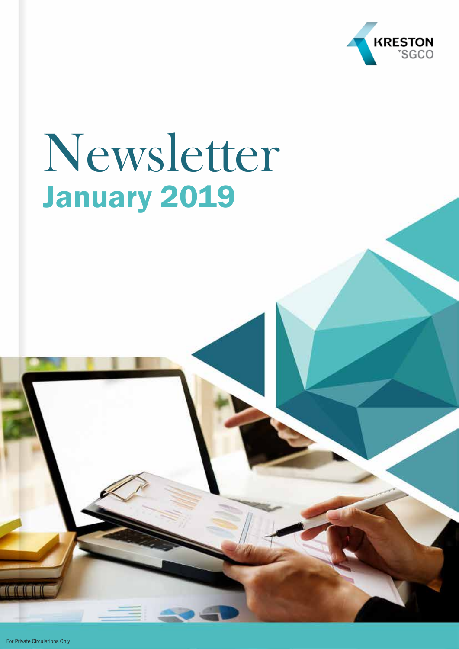

## Newsletter January 2019

For Private Circulations Only

TICICIO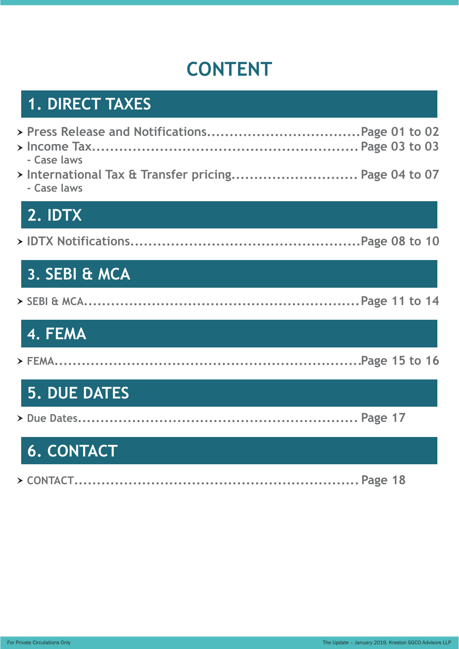## **CONTENT**

## **1. DIRECT TAXES**

| - Case laws                                                         |  |  |
|---------------------------------------------------------------------|--|--|
| > International Tax & Transfer pricing Page 04 to 07<br>- Case laws |  |  |
| 2. IDTX                                                             |  |  |
|                                                                     |  |  |
| 3. SEBI & MCA                                                       |  |  |
|                                                                     |  |  |
| 4. FEMA                                                             |  |  |
|                                                                     |  |  |

## **5. DUE DATES**

|--|--|--|--|--|

## **6. CONTACT**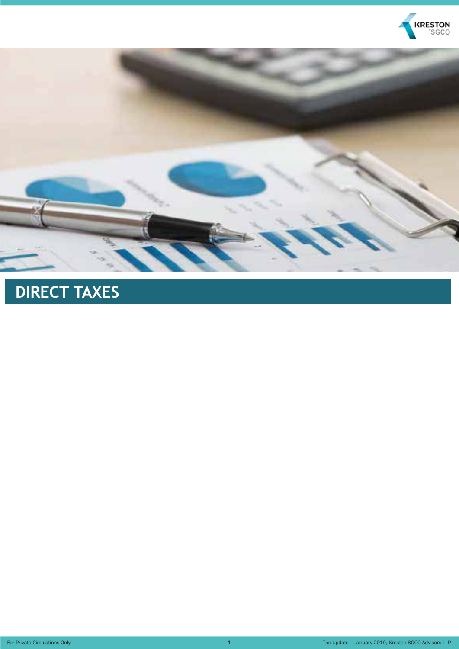



## **DIRECT TAXES**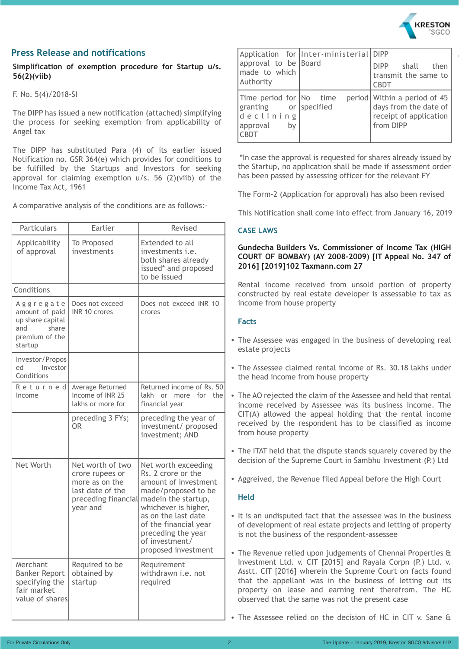

#### **Press Release and notifications**

**Simplification of exemption procedure for Startup u/s. 56(2)(viib)**

F. No. 5(4)/2018-SI

The DIPP has issued a new notification (attached) simplifying the process for seeking exemption from applicability of Angel tax

The DIPP has substituted Para (4) of its earlier issued Notification no. GSR 364(e) which provides for conditions to be fulfilled by the Startups and Investors for seeking approval for claiming exemption u/s. 56 (2)(viib) of the Income Tax Act, 1961

A comparative analysis of the conditions are as follows:-

| Particulars                                                                                  | Earlier                                                                                                      | Revised                                                                                                                                                                                                                                                |
|----------------------------------------------------------------------------------------------|--------------------------------------------------------------------------------------------------------------|--------------------------------------------------------------------------------------------------------------------------------------------------------------------------------------------------------------------------------------------------------|
| Applicability<br>of approval                                                                 | To Proposed<br>investments                                                                                   | Extended to all<br>investments <i>i.e.</i><br>both shares already<br>issued* and proposed<br>to be issued                                                                                                                                              |
| Conditions                                                                                   |                                                                                                              |                                                                                                                                                                                                                                                        |
| Aggregate<br>amount of paid<br>up share capital<br>share<br>and<br>premium of the<br>startup | Does not exceed<br>INR 10 crores                                                                             | Does not exceed INR 10<br>crores                                                                                                                                                                                                                       |
| Investor/Propos<br>Investor<br>ed<br>Conditions                                              |                                                                                                              |                                                                                                                                                                                                                                                        |
| Returned<br>Income                                                                           | Average Returned<br>Income of INR 25<br>lakhs or more for                                                    | Returned income of Rs. 50<br>lakh or<br>for the<br>more<br>financial year                                                                                                                                                                              |
|                                                                                              | preceding 3 FYs;<br>OR.                                                                                      | preceding the year of<br>investment/ proposed<br>investment; AND                                                                                                                                                                                       |
| Net Worth                                                                                    | Net worth of two<br>crore rupees or<br>more as on the<br>last date of the<br>preceding financial<br>year and | Net worth exceeding<br>Rs. 2 crore or the<br>amount of investment<br>made/proposed to be<br>madein the startup,<br>whichever is higher,<br>as on the last date<br>of the financial year<br>preceding the year<br>of investment/<br>proposed investment |
| Merchant<br><b>Banker Report</b><br>specifying the<br>fair market<br>value of shares         | Required to be<br>obtained by<br>startup                                                                     | Requirement<br>withdrawn i.e. not<br>required                                                                                                                                                                                                          |

| approval to be Board<br>made to which<br>Authority                                             | Application for   Inter-ministerial   DIPP | DIPP shall then<br>transmit the same to<br><b>CBDT</b>                                       |
|------------------------------------------------------------------------------------------------|--------------------------------------------|----------------------------------------------------------------------------------------------|
| Time period for No time<br>granting or specified<br>declining<br>approval<br>by<br><b>CBDT</b> |                                            | period Within a period of 45<br>days from the date of<br>receipt of application<br>from DIPP |

 \*In case the approval is requested for shares already issued by the Startup, no application shall be made if assessment order has been passed by assessing officer for the relevant FY

The Form-2 (Application for approval) has also been revised

This Notification shall come into effect from January 16, 2019

#### **CASE LAWS**

#### **Gundecha Builders Vs. Commissioner of Income Tax (HIGH COURT OF BOMBAY) (AY 2008-2009) [IT Appeal No. 347 of 2016] [2019]102 Taxmann.com 27**

Rental income received from unsold portion of property constructed by real estate developer is assessable to tax as income from house property

#### **Facts**

- The Assessee was engaged in the business of developing real estate projects
- The Assessee claimed rental income of Rs. 30.18 lakhs under the head income from house property
- The AO rejected the claim of the Assessee and held that rental income received by Assessee was its business income. The CIT(A) allowed the appeal holding that the rental income received by the respondent has to be classified as income from house property
- The ITAT held that the dispute stands squarely covered by the decision of the Supreme Court in Sambhu Investment (P.) Ltd
- Aggreived, the Revenue filed Appeal before the High Court

- It is an undisputed fact that the assessee was in the business of development of real estate projects and letting of property is not the business of the respondent-assessee
- The Revenue relied upon judgements of Chennai Properties & Investment Ltd. v. CIT [2015] and Rayala Corpn (P.) Ltd. v. Asstt. CIT [2016] wherein the Supreme Court on facts found that the appellant was in the business of letting out its property on lease and earning rent therefrom. The HC observed that the same was not the present case
- The Assessee relied on the decision of HC in CIT v. Sane &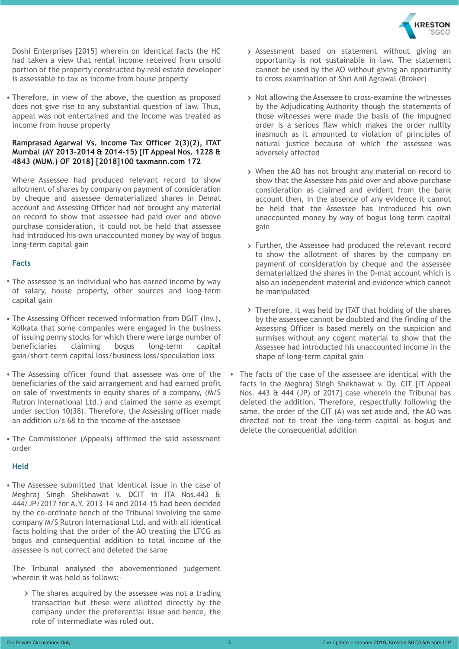

Doshi Enterprises [2015] wherein on identical facts the HC had taken a view that rental income received from unsold portion of the property constructed by real estate developer is assessable to tax as income from house property

Therefore, in view of the above, the question as proposed does not give rise to any substantial question of law. Thus, appeal was not entertained and the income was treated as income from house property

#### **Ramprasad Agarwal Vs. Income Tax Officer 2(3)(2), ITAT Mumbai (AY 2013-2014 & 2014-15) [IT Appeal Nos. 1228 & 4843 (MUM.) OF 2018] [2018]100 taxmann.com 172**

Where Assessee had produced relevant record to show allotment of shares by company on payment of consideration by cheque and assessee dematerialized shares in Demat account and Assessing Officer had not brought any material on record to show that assessee had paid over and above purchase consideration, it could not be held that assessee had introduced his own unaccounted money by way of bogus long-term capital gain

#### **Facts**

- The assessee is an individual who has earned income by way of salary, house property, other sources and long-term capital gain
- The Assessing Officer received information from DGIT (Inv.), Kolkata that some companies were engaged in the business of issuing penny stocks for which there were large number of beneficiaries claiming bogus long-term capital gain/short-term capital loss/business loss/speculation loss
- The Assessing officer found that assessee was one of the beneficiaries of the said arrangement and had earned profit on sale of investments in equity shares of a company, (M/S Rutron International Ltd.) and claimed the same as exempt under section 10(38). Therefore, the Assessing officer made an addition u/s 68 to the income of the assessee
- The Commissioner (Appeals) affirmed the said assessment order

#### **Held**

The Assessee submitted that identical issue in the case of Meghraj Singh Shekhawat v. DCIT in ITA Nos.443 & 444/JP/2017 for A.Y. 2013-14 and 2014-15 had been decided by the co-ordinate bench of the Tribunal involving the same company M/S Rutron International Ltd. and with all identical facts holding that the order of the AO treating the LTCG as bogus and consequential addition to total income of the assessee is not correct and deleted the same

The Tribunal analysed the abovementioned judgement wherein it was held as follows:-

 $\rightarrow$  The shares acquired by the assessee was not a trading transaction but these were allotted directly by the company under the preferential issue and hence, the role of intermediate was ruled out.

- Assessment based on statement without giving an opportunity is not sustainable in law. The statement cannot be used by the AO without giving an opportunity to cross examination of Shri Anil Agrawal (Broker)
- > Not allowing the Assessee to cross-examine the witnesses by the Adjudicating Authority though the statements of those witnesses were made the basis of the impugned order is a serious flaw which makes the order nullity inasmuch as it amounted to violation of principles of natural justice because of which the assessee was adversely affected
- When the AO has not brought any material on record to show that the Assessee has paid over and above purchase consideration as claimed and evident from the bank account then, in the absence of any evidence it cannot be held that the Assessee has introduced his own unaccounted money by way of bogus long term capital gain
- Further, the Assessee had produced the relevant record to show the allotment of shares by the company on payment of consideration by cheque and the assessee dematerialized the shares in the D-mat account which is also an independent material and evidence which cannot be manipulated
- $\rightarrow$  Therefore, it was held by ITAT that holding of the shares by the assessee cannot be doubted and the finding of the Assessing Officer is based merely on the suspicion and surmises without any cogent material to show that the Assessee had introducted his unaccounted income in the shape of long-term capital gain
- The facts of the case of the assessee are identical with the facts in the Meghraj Singh Shekhawat v. Dy. CIT [IT Appeal Nos. 443 & 444 (JP) of 2017] case wherein the Tribunal has deleted the addition. Therefore, respectfully following the same, the order of the CIT (A) was set aside and, the AO was directed not to treat the long-term capital as bogus and delete the consequential addition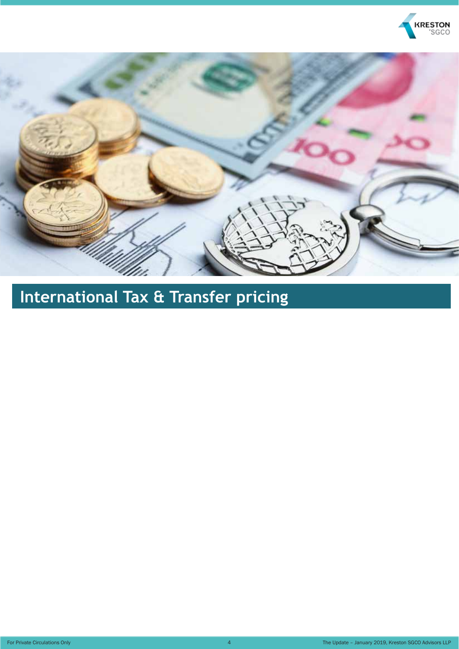



**International Tax & Transfer pricing**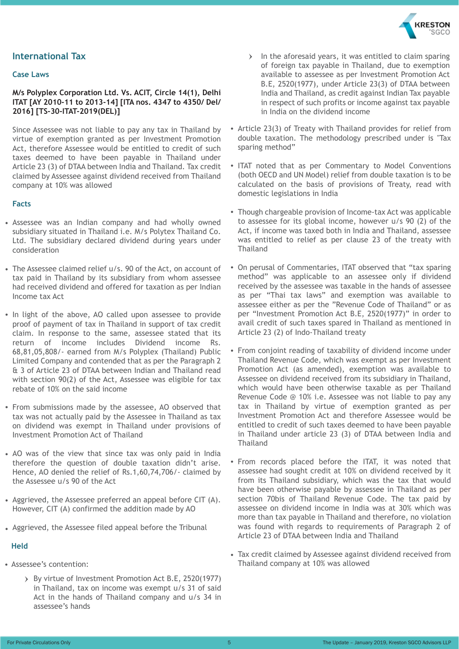

#### **International Tax**

#### **Case Laws**

#### **M/s Polyplex Corporation Ltd. Vs. ACIT, Circle 14(1), Delhi ITAT [AY 2010-11 to 2013-14] [ITA nos. 4347 to 4350/ Del/ 2016] [TS-30-ITAT-2019(DEL)]**

Since Assessee was not liable to pay any tax in Thailand by virtue of exemption granted as per Investment Promotion Act, therefore Assessee would be entitled to credit of such taxes deemed to have been payable in Thailand under Article 23 (3) of DTAA between India and Thailand. Tax credit claimed by Assessee against dividend received from Thailand company at 10% was allowed

#### **Facts**

- Assessee was an Indian company and had wholly owned subsidiary situated in Thailand i.e. M/s Polytex Thailand Co. Ltd. The subsidiary declared dividend during years under consideration
- The Assessee claimed relief u/s. 90 of the Act, on account of tax paid in Thailand by its subsidiary from whom assessee had received dividend and offered for taxation as per Indian Income tax Act
- In light of the above, AO called upon assessee to provide proof of payment of tax in Thailand in support of tax credit claim. In response to the same, assessee stated that its return of income includes Dividend income Rs. 68,81,05,808/- earned from M/s Polyplex (Thailand) Public Limited Company and contended that as per the Paragraph 2 & 3 of Article 23 of DTAA between Indian and Thailand read with section 90(2) of the Act, Assessee was eligible for tax rebate of 10% on the said income
- From submissions made by the assessee, AO observed that tax was not actually paid by the Assessee in Thailand as tax on dividend was exempt in Thailand under provisions of Investment Promotion Act of Thailand
- AO was of the view that since tax was only paid in India therefore the question of double taxation didn't arise. Hence, AO denied the relief of Rs.1,60,74,706/- claimed by the Assessee u/s 90 of the Act
- Aggrieved, the Assessee preferred an appeal before CIT (A). However, CIT (A) confirmed the addition made by AO
- Aggrieved, the Assessee filed appeal before the Tribunal

- Assessee's contention:
	- By virtue of Investment Promotion Act B.E, 2520(1977) in Thailand, tax on income was exempt u/s 31 of said Act in the hands of Thailand company and u/s 34 in assessee's hands
- $\angle$  In the aforesaid years, it was entitled to claim sparing of foreign tax payable in Thailand, due to exemption available to assessee as per Investment Promotion Act B.E, 2520(1977), under Article 23(3) of DTAA between India and Thailand, as credit against Indian Tax payable in respect of such profits or income against tax payable in India on the dividend income
- Article 23(3) of Treaty with Thailand provides for relief from double taxation. The methodology prescribed under is "Tax sparing method"
- ITAT noted that as per Commentary to Model Conventions (both OECD and UN Model) relief from double taxation is to be calculated on the basis of provisions of Treaty, read with domestic legislations in India
- Though chargeable provision of Income-tax Act was applicable to assessee for its global income, however u/s 90 (2) of the Act, if income was taxed both in India and Thailand, assessee was entitled to relief as per clause 23 of the treaty with **Thailand**
- On perusal of Commentaries, ITAT observed that "tax sparing method" was applicable to an assessee only if dividend received by the assessee was taxable in the hands of assessee as per "Thai tax laws" and exemption was available to assessee either as per the "Revenue Code of Thailand" or as per "Investment Promotion Act B.E, 2520(1977)" in order to avail credit of such taxes spared in Thailand as mentioned in Article 23 (2) of Indo-Thailand treaty
- From conjoint reading of taxability of dividend income under Thailand Revenue Code, which was exempt as per Investment Promotion Act (as amended), exemption was available to Assessee on dividend received from its subsidiary in Thailand, which would have been otherwise taxable as per Thailand Revenue Code @ 10% i.e. Assessee was not liable to pay any tax in Thailand by virtue of exemption granted as per Investment Promotion Act and therefore Assessee would be entitled to credit of such taxes deemed to have been payable in Thailand under article 23 (3) of DTAA between India and **Thailand**
- From records placed before the ITAT, it was noted that assessee had sought credit at 10% on dividend received by it from its Thailand subsidiary, which was the tax that would have been otherwise payable by assessee in Thailand as per section 70bis of Thailand Revenue Code. The tax paid by assessee on dividend income in India was at 30% which was more than tax payable in Thailand and therefore, no violation was found with regards to requirements of Paragraph 2 of Article 23 of DTAA between India and Thailand
- Tax credit claimed by Assessee against dividend received from Thailand company at 10% was allowed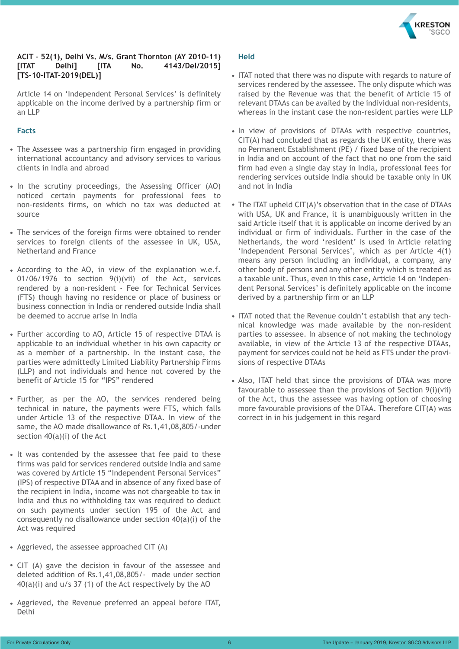

#### **ACIT – 52(1), Delhi Vs. M/s. Grant Thornton (AY 2010-11) [ITAT Delhi] [ITA No. 4143/Del/2015] [TS-10-ITAT-2019(DEL)]**

Article 14 on 'Independent Personal Services' is definitely applicable on the income derived by a partnership firm or an LLP

#### **Facts**

- The Assessee was a partnership firm engaged in providing international accountancy and advisory services to various clients in India and abroad
- In the scrutiny proceedings, the Assessing Officer (AO) noticed certain payments for professional fees to non-residents firms, on which no tax was deducted at source
- The services of the foreign firms were obtained to render services to foreign clients of the assessee in UK, USA, Netherland and France
- According to the AO, in view of the explanation w.e.f. 01/06/1976 to section 9(i)(vii) of the Act, services rendered by a non-resident - Fee for Technical Services (FTS) though having no residence or place of business or business connection in India or rendered outside India shall be deemed to accrue arise in India
- Further according to AO, Article 15 of respective DTAA is applicable to an individual whether in his own capacity or as a member of a partnership. In the instant case, the parties were admittedly Limited Liability Partnership Firms (LLP) and not individuals and hence not covered by the benefit of Article 15 for "IPS" rendered
- Further, as per the AO, the services rendered being technical in nature, the payments were FTS, which falls under Article 13 of the respective DTAA. In view of the same, the AO made disallowance of Rs.1,41,08,805/-under section 40(a)(i) of the Act
- It was contended by the assessee that fee paid to these firms was paid for services rendered outside India and same was covered by Article 15 "Independent Personal Services" (IPS) of respective DTAA and in absence of any fixed base of the recipient in India, income was not chargeable to tax in India and thus no withholding tax was required to deduct on such payments under section 195 of the Act and consequently no disallowance under section 40(a)(i) of the Act was required
- Aggrieved, the assessee approached CIT (A)
- CIT (A) gave the decision in favour of the assessee and deleted addition of Rs.1,41,08,805/- made under section  $40(a)(i)$  and  $u/s$  37 (1) of the Act respectively by the AO
- Aggrieved, the Revenue preferred an appeal before ITAT, Delhi

- ITAT noted that there was no dispute with regards to nature of services rendered by the assessee. The only dispute which was raised by the Revenue was that the benefit of Article 15 of relevant DTAAs can be availed by the individual non-residents, whereas in the instant case the non-resident parties were LLP
- In view of provisions of DTAAs with respective countries, CIT(A) had concluded that as regards the UK entity, there was no Permanent Establishment (PE) / fixed base of the recipient in India and on account of the fact that no one from the said firm had even a single day stay in India, professional fees for rendering services outside India should be taxable only in UK and not in India
- The ITAT upheld CIT(A)'s observation that in the case of DTAAs with USA, UK and France, it is unambiguously written in the said Article itself that it is applicable on income derived by an individual or firm of individuals. Further in the case of the Netherlands, the word 'resident' is used in Article relating 'Independent Personal Services', which as per Article 4(1) means any person including an individual, a company, any other body of persons and any other entity which is treated as a taxable unit. Thus, even in this case, Article 14 on 'Independent Personal Services' is definitely applicable on the income derived by a partnership firm or an LLP
- ITAT noted that the Revenue couldn't establish that any technical knowledge was made available by the non-resident parties to assessee. In absence of not making the technology available, in view of the Article 13 of the respective DTAAs, payment for services could not be held as FTS under the provisions of respective DTAAs
- Also, ITAT held that since the provisions of DTAA was more favourable to assessee than the provisions of Section 9(i)(vii) of the Act, thus the assessee was having option of choosing more favourable provisions of the DTAA. Therefore CIT(A) was correct in in his judgement in this regard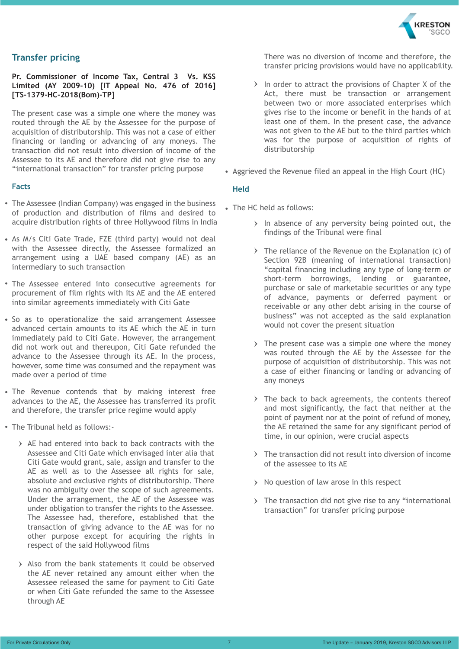

#### **Transfer pricing**

#### **Pr. Commissioner of Income Tax, Central 3 Vs. KSS Limited (AY 2009-10) [IT Appeal No. 476 of 2016] [TS-1379-HC-2018(Bom)-TP]**

The present case was a simple one where the money was routed through the AE by the Assessee for the purpose of acquisition of distributorship. This was not a case of either financing or landing or advancing of any moneys. The transaction did not result into diversion of income of the Assessee to its AE and therefore did not give rise to any "international transaction" for transfer pricing purpose

#### **Facts**

- The Assessee (Indian Company) was engaged in the business of production and distribution of films and desired to acquire distribution rights of three Hollywood films in India
- As M/s Citi Gate Trade, FZE (third party) would not deal with the Assessee directly, the Assessee formalized an arrangement using a UAE based company (AE) as an intermediary to such transaction
- The Assessee entered into consecutive agreements for procurement of film rights with its AE and the AE entered into similar agreements immediately with Citi Gate
- So as to operationalize the said arrangement Assessee advanced certain amounts to its AE which the AE in turn immediately paid to Citi Gate. However, the arrangement did not work out and thereupon, Citi Gate refunded the advance to the Assessee through its AE. In the process, however, some time was consumed and the repayment was made over a period of time
- The Revenue contends that by making interest free advances to the AE, the Assessee has transferred its profit and therefore, the transfer price regime would apply
- The Tribunal held as follows:-
	- $\rightarrow$  AE had entered into back to back contracts with the Assessee and Citi Gate which envisaged inter alia that Citi Gate would grant, sale, assign and transfer to the AE as well as to the Assessee all rights for sale, absolute and exclusive rights of distributorship. There was no ambiguity over the scope of such agreements. Under the arrangement, the AE of the Assessee was under obligation to transfer the rights to the Assessee. The Assessee had, therefore, established that the transaction of giving advance to the AE was for no other purpose except for acquiring the rights in respect of the said Hollywood films
	- $\rightarrow$  Also from the bank statements it could be observed the AE never retained any amount either when the Assessee released the same for payment to Citi Gate or when Citi Gate refunded the same to the Assessee through AE

There was no diversion of income and therefore, the transfer pricing provisions would have no applicability.

- $\lambda$  In order to attract the provisions of Chapter X of the Act, there must be transaction or arrangement between two or more associated enterprises which gives rise to the income or benefit in the hands of at least one of them. In the present case, the advance was not given to the AE but to the third parties which was for the purpose of acquisition of rights of distributorship
- Aggrieved the Revenue filed an appeal in the High Court (HC)

- The HC held as follows:
	- $\rightarrow$  In absence of any perversity being pointed out, the findings of the Tribunal were final
	- $\rightarrow$  The reliance of the Revenue on the Explanation (c) of Section 92B (meaning of international transaction) "capital financing including any type of long-term or short-term borrowings, lending or guarantee, purchase or sale of marketable securities or any type of advance, payments or deferred payment or receivable or any other debt arising in the course of business" was not accepted as the said explanation would not cover the present situation
	- $\rightarrow$  The present case was a simple one where the money was routed through the AE by the Assessee for the purpose of acquisition of distributorship. This was not a case of either financing or landing or advancing of any moneys
	- $\rightarrow$  The back to back agreements, the contents thereof and most significantly, the fact that neither at the point of payment nor at the point of refund of money, the AE retained the same for any significant period of time, in our opinion, were crucial aspects
	- $\rightarrow$  The transaction did not result into diversion of income of the assessee to its AE
	- $\rightarrow$  No question of law arose in this respect
	- $\rightarrow$  The transaction did not give rise to any "international" transaction" for transfer pricing purpose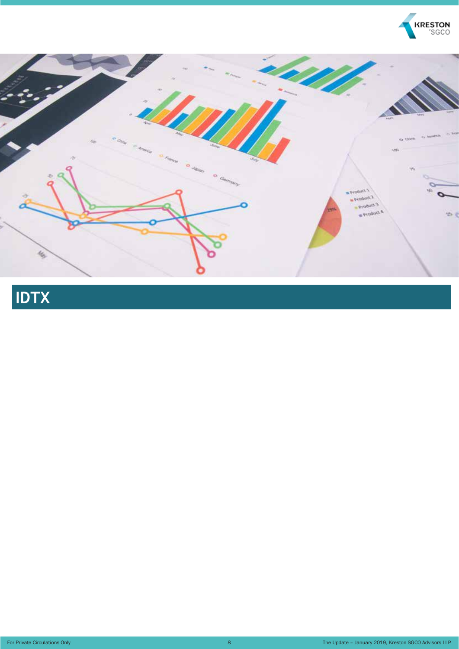



## **IDTX**

For Private Circulations Only 8 and 200 million and 200 million and 200 million and 30 million 8

The Update – January 2019, Kreston SGCO Advisors LLP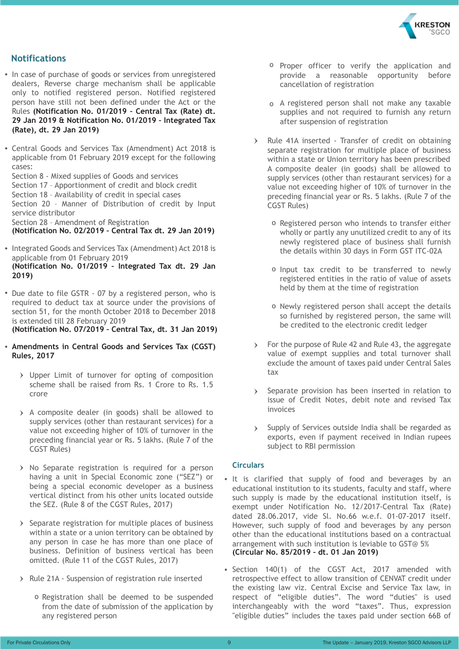

#### **Notifications**

• In case of purchase of goods or services from unregistered dealers, Reverse charge mechanism shall be applicable only to notified registered person. Notified registered person have still not been defined under the Act or the Rules **(Notification No. 01/2019 – Central Tax (Rate) dt. 29 Jan 2019 & Notification No. 01/2019 – Integrated Tax (Rate), dt. 29 Jan 2019)**

Central Goods and Services Tax (Amendment) Act 2018 is applicable from 01 February 2019 except for the following cases:

Section 8 - Mixed supplies of Goods and services Section 17 – Apportionment of credit and block credit Section 18 – Availability of credit in special cases Section 20 – Manner of Distribution of credit by Input service distributor Section 28 – Amendment of Registration

**(Notification No. 02/2019 – Central Tax dt. 29 Jan 2019)**

- Integrated Goods and Services Tax (Amendment) Act 2018 is applicable from 01 February 2019 **(Notification No. 01/2019 – Integrated Tax dt. 29 Jan 2019)**
- Due date to file GSTR 07 by a registered person, who is required to deduct tax at source under the provisions of section 51, for the month October 2018 to December 2018 is extended till 28 February 2019 **(Notification No. 07/2019 – Central Tax, dt. 31 Jan 2019)**

**Amendments in Central Goods and Services Tax (CGST)** 

- **Rules, 2017**
	- Upper Limit of turnover for opting of composition scheme shall be raised from Rs. 1 Crore to Rs. 1.5 crore
	- $\rightarrow$  A composite dealer (in goods) shall be allowed to supply services (other than restaurant services) for a value not exceeding higher of 10% of turnover in the preceding financial year or Rs. 5 lakhs. (Rule 7 of the CGST Rules)
	- $\rightarrow$  No Separate registration is required for a person having a unit in Special Economic zone ("SEZ") or being a special economic developer as a business vertical distinct from his other units located outside the SEZ. (Rule 8 of the CGST Rules, 2017)
	- $\sum$  Separate registration for multiple places of business within a state or a union territory can be obtained by any person in case he has more than one place of business. Definition of business vertical has been omitted. (Rule 11 of the CGST Rules, 2017)
	- > Rule 21A Suspension of registration rule inserted
		- o Registration shall be deemed to be suspended from the date of submission of the application by any registered person
- <sup>o</sup> Proper officer to verify the application and provide a reasonable opportunity before cancellation of registration
- A registered person shall not make any taxable supplies and not required to furnish any return after suspension of registration
- Rule 41A inserted Transfer of credit on obtaining separate registration for multiple place of business within a state or Union territory has been prescribed A composite dealer (in goods) shall be allowed to supply services (other than restaurant services) for a value not exceeding higher of 10% of turnover in the preceding financial year or Rs. 5 lakhs. (Rule 7 of the CGST Rules)
	- o Registered person who intends to transfer either wholly or partly any unutilized credit to any of its newly registered place of business shall furnish the details within 30 days in Form GST ITC-02A
	- o Input tax credit to be transferred to newly registered entities in the ratio of value of assets held by them at the time of registration
	- o Newly registered person shall accept the details so furnished by registered person, the same will be credited to the electronic credit ledger
- For the purpose of Rule 42 and Rule 43, the aggregate value of exempt supplies and total turnover shall exclude the amount of taxes paid under Central Sales tax
- Separate provision has been inserted in relation to  $\rightarrow$ issue of Credit Notes, debit note and revised Tax invoices
- Supply of Services outside India shall be regarded as  $\sum$ exports, even if payment received in Indian rupees subject to RBI permission

#### **Circulars**

- It is clarified that supply of food and beverages by an educational institution to its students, faculty and staff, where such supply is made by the educational institution itself, is exempt under Notification No. 12/2017-Central Tax (Rate) dated 28.06.2017, vide Sl. No.66 w.e.f. 01-07-2017 itself. However, such supply of food and beverages by any person other than the educational institutions based on a contractual arrangement with such institution is leviable to GST@ 5% **(Circular No. 85/2019 – dt. 01 Jan 2019)**
- Section 140(1) of the CGST Act, 2017 amended with retrospective effect to allow transition of CENVAT credit under the existing law viz. Central Excise and Service Tax law, in respect of "eligible duties". The word "duties" is used interchangeably with the word "taxes". Thus, expression "eligible duties" includes the taxes paid under section 66B of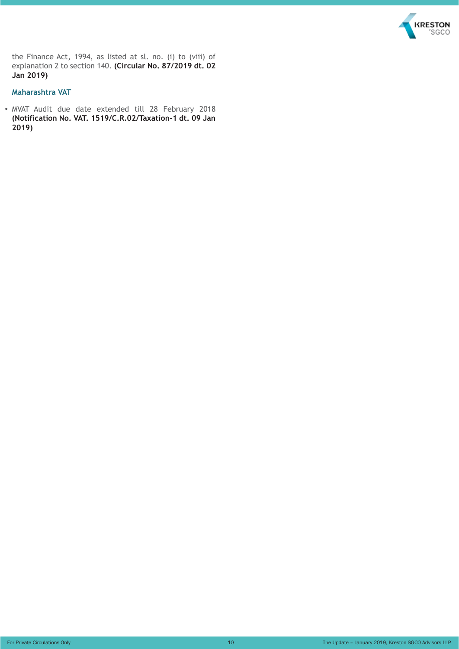

the Finance Act, 1994, as listed at sl. no. (i) to (viii) of explanation 2 to section 140. **(Circular No. 87/2019 dt. 02 Jan 2019)**

#### **Maharashtra VAT**

MVAT Audit due date extended till 28 February 2018 **(Notification No. VAT. 1519/C.R.02/Taxation-1 dt. 09 Jan 2019)**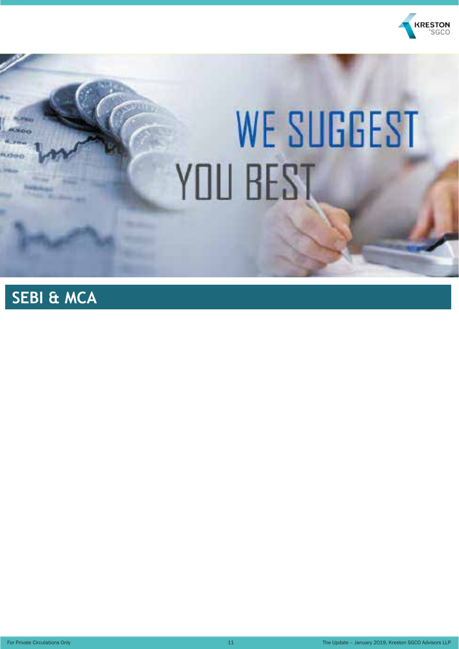

# **WE SUGGEST** YOU BEST

## **SEBI & MCA**

For Private Circulations Only 11 The Update – January 2019, Kreston SGCO Advisors LLP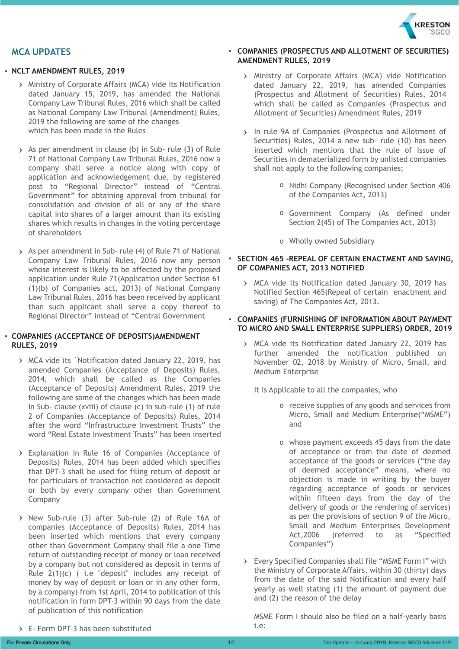

#### **MCA UPDATES**

#### **NCLT AMENDMENT RULES, 2019**

- Ministry of Corporate Affairs (MCA) vide its Notification dated January 15, 2019, has amended the National Company Law Tribunal Rules, 2016 which shall be called as National Company Law Tribunal (Amendment) Rules, 2019 the following are some of the changes which has been made in the Rules
- $\rightarrow$  As per amendment in clause (b) in Sub- rule (3) of Rule 71 of National Company Law Tribunal Rules, 2016 now a company shall serve a notice along with copy of application and acknowledgement due, by registered post to "Regional Director" instead of "Central Government" for obtaining approval from tribunal for consolidation and division of all or any of the share capital into shares of a larger amount than its existing shares which results in changes in the voting percentage of shareholders
- As per amendment in Sub- rule (4) of Rule 71 of National Company Law Tribunal Rules, 2016 now any person whose interest is likely to be affected by the proposed application under Rule 71(Application under Section 61 (1)(b) of Companies act, 2013) of National Company Law Tribunal Rules, 2016 has been received by applicant than such applicant shall serve a copy thereof to Regional Director" instead of "Central Government

#### **COMPANIES (ACCEPTANCE OF DEPOSITS)AMENDMENT RULES, 2019**

- MCA vide its `Notification dated January 22, 2019, has amended Companies (Acceptance of Deposits) Rules, 2014, which shall be called as the Companies (Acceptance of Deposits) Amendment Rules, 2019 the following are some of the changes which has been made In Sub- clause (xviii) of clause (c) in sub-rule (1) of rule 2 of Companies (Acceptance of Deposits) Rules, 2014 after the word "Infrastructure Investment Trusts" the word "Real Estate Investment Trusts" has been inserted
- Explanation in Rule 16 of Companies (Acceptance of Deposits) Rules, 2014 has been added which specifies that DPT-3 shall be used for filing return of deposit or for particulars of transaction not considered as deposit or both by every company other than Government Company
- $\rightarrow$  New Sub-rule (3) after Sub-rule (2) of Rule 16A of companies (Acceptance of Deposits) Rules, 2014 has been inserted which mentions that every company other than Government Company shall file a one Time return of outstanding receipt of money or loan received by a company but not considered as deposit in terms of Rule  $2(1)(c)$  ( i.e "deposit" includes any receipt of money by way of deposit or loan or in any other form, by a company) from 1st April, 2014 to publication of this notification in form DPT-3 within 90 days from the date of publication of this notification

#### **COMPANIES (PROSPECTUS AND ALLOTMENT OF SECURITIES) AMENDMENT RULES, 2019**

- Ministry of Corporate Affairs (MCA) vide Notification dated January 22, 2019, has amended Companies (Prospectus and Allotment of Securities) Rules, 2014 which shall be called as Companies (Prospectus and Allotment of Securities) Amendment Rules, 2019
- > In rule 9A of Companies (Prospectus and Allotment of Securities) Rules, 2014 a new sub- rule (10) has been inserted which mentions that the rule of Issue of Securities in dematerialized form by unlisted companies shall not apply to the following companies;
	- o Nidhi Company (Recognised under Section 406 of the Companies Act, 2013)
	- Government Company (As defined under Section 2(45) of The Companies Act, 2013)
	- Wholly owned Subsidiary
- **SECTION 465 -REPEAL OF CERTAIN ENACTMENT AND SAVING, OF COMPANIES ACT, 2013 NOTIFIED**
	- MCA vide its Notification dated January 30, 2019 has Notified Section 465(Repeal of certain enactment and saving) of The Companies Act, 2013.

#### **COMPANIES (FURNISHING OF INFORMATION ABOUT PAYMENT TO MICRO AND SMALL ENTERPRISE SUPPLIERS) ORDER, 2019**

MCA vide its Notification dated January 22, 2019 has further amended the notification published on November 02, 2018 by Ministry of Micro, Small, and Medium Enterprise

It is Applicable to all the companies, who

- o receive supplies of any goods and services from Micro, Small and Medium Enterprise("MSME") and
- whose payment exceeds 45 days from the date of acceptance or from the date of deemed acceptance of the goods or services ("the day of deemed acceptance" means, where no objection is made in writing by the buyer regarding acceptance of goods or services within fifteen days from the day of the delivery of goods or the rendering of services) as per the provisions of section 9 of the Micro, Small and Medium Enterprises Development Act,2006 (referred to as "Specified Companies")
- Every Specified Companies shall file "MSME Form I" with the Ministry of Corporate Affairs, within 30 (thirty) days from the date of the said Notification and every half yearly as well stating (1) the amount of payment due and (2) the reason of the delay

MSME Form I should also be filed on a half-yearly basis i.e:

E- Form DPT-3 has been substituted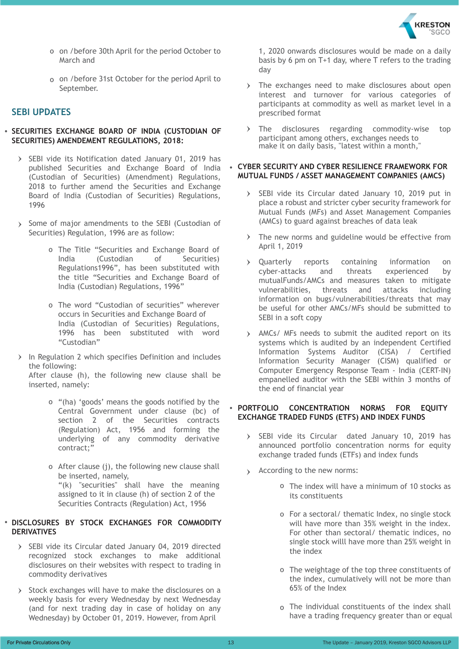

- on /before 30th April for the period October to March and
- on /before 31st October for the period April to September.

#### **SEBI UPDATES**

#### **SECURITIES EXCHANGE BOARD OF INDIA (CUSTODIAN OF SECURITIES) AMENDEMENT REGULATIONS, 2018:**

- $\triangleright$  SEBI vide its Notification dated January 01, 2019 has published Securities and Exchange Board of India (Custodian of Securities) (Amendment) Regulations, 2018 to further amend the Securities and Exchange Board of India (Custodian of Securities) Regulations, 1996
- > Some of major amendments to the SEBI (Custodian of Securities) Regulation, 1996 are as follow:
	- o The Title "Securities and Exchange Board of India (Custodian of Securities) Regulations1996", has been substituted with the title "Securities and Exchange Board of India (Custodian) Regulations, 1996"
	- o The word "Custodian of securities" wherever occurs in Securities and Exchange Board of India (Custodian of Securities) Regulations, 1996 has been substituted with word "Custodian"
- $\sum$  In Regulation 2 which specifies Definition and includes the following:

After clause (h), the following new clause shall be inserted, namely:

- "(ha) 'goods' means the goods notified by the Central Government under clause (bc) of section 2 of the Securities contracts (Regulation) Act, 1956 and forming the underlying of any commodity derivative contract;"
- After clause (j), the following new clause shall be inserted, namely, "(k) "securities" shall have the meaning assigned to it in clause (h) of section 2 of the Securities Contracts (Regulation) Act, 1956

#### **DISCLOSURES BY STOCK EXCHANGES FOR COMMODITY DERIVATIVES**

- > SEBI vide its Circular dated January 04, 2019 directed recognized stock exchanges to make additional disclosures on their websites with respect to trading in commodity derivatives
- $\rightarrow$  Stock exchanges will have to make the disclosures on a weekly basis for every Wednesday by next Wednesday (and for next trading day in case of holiday on any Wednesday) by October 01, 2019. However, from April

1, 2020 onwards disclosures would be made on a daily basis by 6 pm on T+1 day, where T refers to the trading day

- > The exchanges need to make disclosures about open interest and turnover for various categories of participants at commodity as well as market level in a prescribed format
- The disclosures regarding commodity-wise top participant among others, exchanges needs to make it on daily basis, "latest within a month,"

#### **CYBER SECURITY AND CYBER RESILIENCE FRAMEWORK FOR MUTUAL FUNDS / ASSET MANAGEMENT COMPANIES (AMCS)**

- $\geq$  SEBI vide its Circular dated January 10, 2019 put in place a robust and stricter cyber security framework for Mutual Funds (MFs) and Asset Management Companies (AMCs) to guard against breaches of data leak
- $\rightarrow$  The new norms and guideline would be effective from April 1, 2019
- Quarterly reports containing information on cyber-attacks and threats experienced by mutualFunds/AMCs and measures taken to mitigate vulnerabilities, threats and attacks including information on bugs/vulnerabilities/threats that may be useful for other AMCs/MFs should be submitted to SEBI in a soft copy
- AMCs/ MFs needs to submit the audited report on its systems which is audited by an independent Certified Information Systems Auditor (CISA) / Certified Information Security Manager (CISM) qualified or Computer Emergency Response Team - India (CERT-IN) empanelled auditor with the SEBI within 3 months of the end of financial year

#### $\bullet$ **PORTFOLIO CONCENTRATION NORMS FOR EQUITY EXCHANGE TRADED FUNDS (ETFS) AND INDEX FUNDS**

- > SEBI vide its Circular dated January 10, 2019 has announced portfolio concentration norms for equity exchange traded funds (ETFs) and index funds
- According to the new norms:
	- The index will have a minimum of 10 stocks as its constituents
	- For a sectoral/ thematic Index, no single stock will have more than 35% weight in the index. For other than sectoral/ thematic indices, no single stock willl have more than 25% weight in the index
	- The weightage of the top three constituents of the index, cumulatively will not be more than 65% of the Index
	- The individual constituents of the index shall have a trading frequency greater than or equal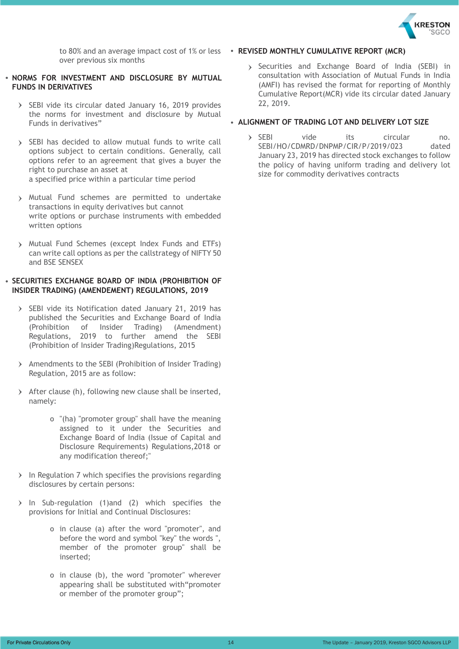

over previous six months

#### **NORMS FOR INVESTMENT AND DISCLOSURE BY MUTUAL FUNDS IN DERIVATIVES**

- $\triangleright$  SEBI vide its circular dated January 16, 2019 provides the norms for investment and disclosure by Mutual Funds in derivatives"
- > SEBI has decided to allow mutual funds to write call options subject to certain conditions. Generally, call options refer to an agreement that gives a buyer the right to purchase an asset at a specified price within a particular time period
- Mutual Fund schemes are permitted to undertake transactions in equity derivatives but cannot write options or purchase instruments with embedded written options
- Mutual Fund Schemes (except Index Funds and ETFs) can write call options as per the callstrategy of NIFTY 50 and BSE SENSEX

#### **SECURITIES EXCHANGE BOARD OF INDIA (PROHIBITION OF INSIDER TRADING) (AMENDEMENT) REGULATIONS, 2019**

- > SEBI vide its Notification dated January 21, 2019 has published the Securities and Exchange Board of India (Prohibition of Insider Trading) (Amendment) Regulations, 2019 to further amend the SEBI (Prohibition of Insider Trading)Regulations, 2015
- Amendments to the SEBI (Prohibition of Insider Trading) Regulation, 2015 are as follow:
- $\rightarrow$  After clause (h), following new clause shall be inserted, namely:
	- "(ha) "promoter group" shall have the meaning assigned to it under the Securities and Exchange Board of India (Issue of Capital and Disclosure Requirements) Regulations,2018 or any modification thereof;"
- $\rightarrow$  In Regulation 7 which specifies the provisions regarding disclosures by certain persons:
- $\rightarrow$  In Sub-regulation (1)and (2) which specifies the provisions for Initial and Continual Disclosures:
	- in clause (a) after the word "promoter", and before the word and symbol "key" the words ", member of the promoter group" shall be inserted;
	- o in clause (b), the word "promoter" wherever appearing shall be substituted with"promoter or member of the promoter group";

#### to 80% and an average impact cost of 1% or less **· REVISED MONTHLY CUMULATIVE REPORT (MCR)**

Securities and Exchange Board of India (SEBI) in consultation with Association of Mutual Funds in India (AMFI) has revised the format for reporting of Monthly Cumulative Report(MCR) vide its circular dated January 22, 2019.

#### **ALIGNMENT OF TRADING LOT AND DELIVERY LOT SIZE**

SEBI vide its circular no. SEBI/HO/CDMRD/DNPMP/CIR/P/2019/023 dated January 23, 2019 has directed stock exchanges to follow the policy of having uniform trading and delivery lot size for commodity derivatives contracts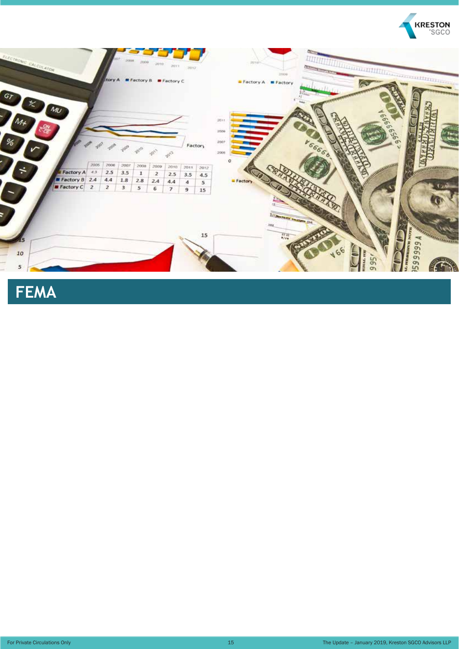



**FEMA**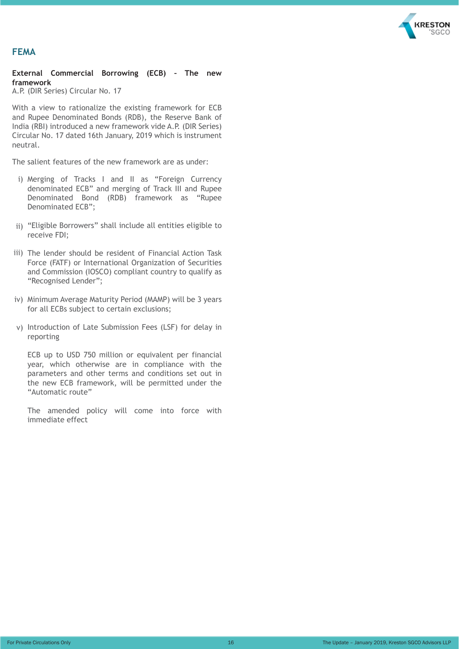

#### **FEMA**

#### **External Commercial Borrowing (ECB) – The new framework**

A.P. (DIR Series) Circular No. 17

With a view to rationalize the existing framework for ECB and Rupee Denominated Bonds (RDB), the Reserve Bank of India (RBI) introduced a new framework vide A.P. (DIR Series) Circular No. 17 dated 16th January, 2019 which is instrument neutral.

The salient features of the new framework are as under:

- i) Merging of Tracks I and II as "Foreign Currency denominated ECB" and merging of Track III and Rupee Denominated Bond (RDB) framework as "Rupee Denominated ECB";
- ii) "Eligible Borrowers" shall include all entities eligible to receive FDI;
- iii) The lender should be resident of Financial Action Task Force (FATF) or International Organization of Securities and Commission (IOSCO) compliant country to qualify as "Recognised Lender";
- iv) Minimum Average Maturity Period (MAMP) will be 3 years for all ECBs subject to certain exclusions;
- v) Introduction of Late Submission Fees (LSF) for delay in reporting

ECB up to USD 750 million or equivalent per financial year, which otherwise are in compliance with the parameters and other terms and conditions set out in the new ECB framework, will be permitted under the "Automatic route"

The amended policy will come into force with immediate effect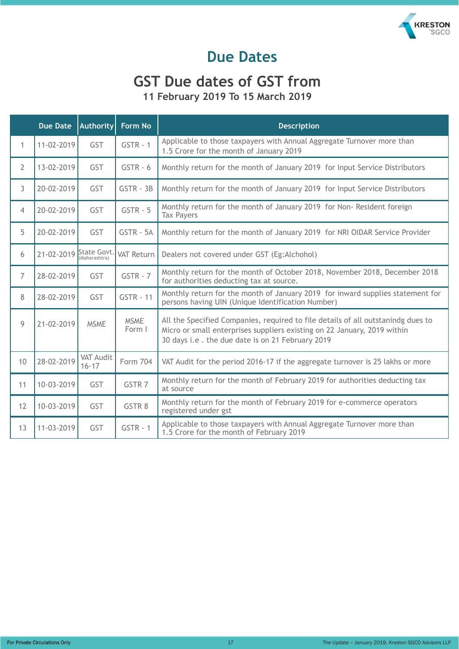

### **Due Dates**

#### **GST Due dates of GST from 11 February 2019 To 15 March 2019**

|                | <b>Due Date</b> | Authority                     | Form No               | <b>Description</b>                                                                                                                                                                                               |
|----------------|-----------------|-------------------------------|-----------------------|------------------------------------------------------------------------------------------------------------------------------------------------------------------------------------------------------------------|
| $\mathbf{1}$   | 11-02-2019      | GST                           | $GSTR - 1$            | Applicable to those taxpayers with Annual Aggregate Turnover more than<br>1.5 Crore for the month of January 2019                                                                                                |
| $\overline{2}$ | 13-02-2019      | <b>GST</b>                    | $GSTR - 6$            | Monthly return for the month of January 2019 for Input Service Distributors                                                                                                                                      |
| $\mathfrak{Z}$ | 20-02-2019      | <b>GST</b>                    | GSTR - 3B             | Monthly return for the month of January 2019 for Input Service Distributors                                                                                                                                      |
| $\overline{4}$ | 20-02-2019      | <b>GST</b>                    | $GSTR - 5$            | Monthly return for the month of January 2019 for Non-Resident foreign<br><b>Tax Payers</b>                                                                                                                       |
| 5              | 20-02-2019      | GST                           | GSTR - 5A             | Monthly return for the month of January 2019 for NRI OIDAR Service Provider                                                                                                                                      |
| 6              | 21-02-2019      | State Govt.<br>(Maharashtra)  | <b>VAT Return</b>     | Dealers not covered under GST (Eg:Alchohol)                                                                                                                                                                      |
| $\overline{7}$ | 28-02-2019      | <b>GST</b>                    | $GSTR - 7$            | Monthly return for the month of October 2018, November 2018, December 2018<br>for authorities deducting tax at source.                                                                                           |
| 8              | 28-02-2019      | <b>GST</b>                    | <b>GSTR - 11</b>      | Monthly return for the month of January 2019 for inward supplies statement for<br>persons having UIN (Unique Identification Number)                                                                              |
| 9              | 21-02-2019      | <b>MSME</b>                   | <b>MSME</b><br>Form I | All the Specified Companies, required to file details of all outstanindg dues to<br>Micro or small enterprises suppliers existing on 22 January, 2019 within<br>30 days i.e. the due date is on 21 February 2019 |
| 10             | 28-02-2019      | <b>VAT Audit</b><br>$16 - 17$ | Form 704              | VAT Audit for the period 2016-17 if the aggregate turnover is 25 lakhs or more                                                                                                                                   |
| 11             | 10-03-2019      | GST                           | GSTR <sub>7</sub>     | Monthly return for the month of February 2019 for authorities deducting tax<br>at source                                                                                                                         |
| 12             | 10-03-2019      | <b>GST</b>                    | GSTR 8                | Monthly return for the month of February 2019 for e-commerce operators<br>registered under gst                                                                                                                   |
| 13             | 11-03-2019      | GST                           | $GSTR - 1$            | Applicable to those taxpayers with Annual Aggregate Turnover more than<br>1.5 Crore for the month of February 2019                                                                                               |